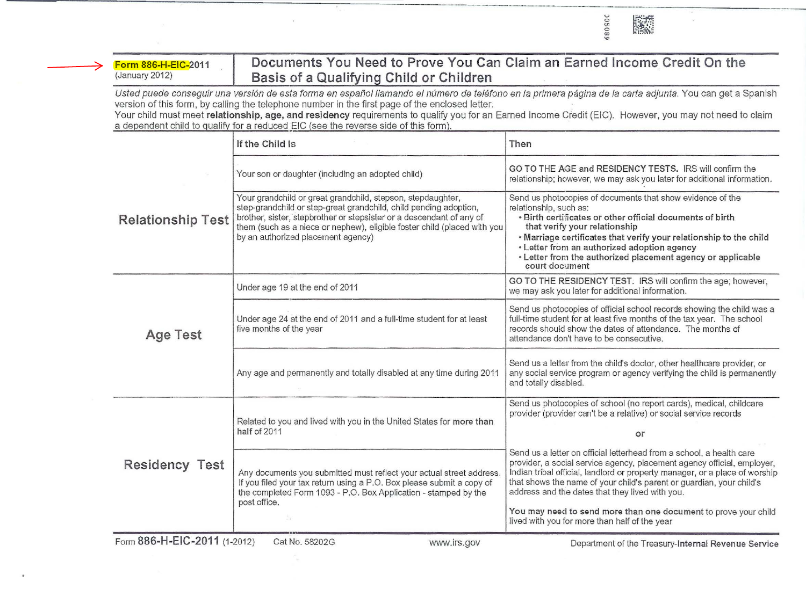Form 886-H-EIC-2011 (January 2012)

## **Documents You Need to Prove You Can Claim an Earned Income Credit On the Basis of a Qualifying Child or Children**

---·---- - - - -- --

...., 0 U1 0 "' "'

Usted puede conseguir una versión de esta forma en español llamando el número de teléfono en la primera página de la carta adjunta. You can get a Spanish version of this form, by calling the telephone number in the first page of the enclosed letter.

Your child must meet relationship, age, and residency requirements to qualify you for an Earned Income Credit (EIC). However, you may not need to claim a dependent child to qualify for a reduced EIC (see the reverse side of this form).

|                              | If the Child Is                                                                                                                                                                                                                                                                                                            | Then                                                                                                                                                                                                                                                                                                                                                                                                                                                                          |
|------------------------------|----------------------------------------------------------------------------------------------------------------------------------------------------------------------------------------------------------------------------------------------------------------------------------------------------------------------------|-------------------------------------------------------------------------------------------------------------------------------------------------------------------------------------------------------------------------------------------------------------------------------------------------------------------------------------------------------------------------------------------------------------------------------------------------------------------------------|
| <b>Relationship Test</b>     | Your son or daughter (including an adopted child)                                                                                                                                                                                                                                                                          | GO TO THE AGE and RESIDENCY TESTS. IRS will confirm the<br>relationship; however, we may ask you later for additional information.                                                                                                                                                                                                                                                                                                                                            |
|                              | Your grandchild or great grandchild, stepson, stepdaughter,<br>step-grandchild or step-great grandchild, child pending adoption,<br>brother, sister, stepbrother or stepsister or a descendant of any of<br>them (such as a niece or nephew), eligible foster child (placed with you<br>by an authorized placement agency) | Send us photocopies of documents that show evidence of the<br>relationship, such as:<br>· Birth certificates or other official documents of birth<br>that verify your relationship<br>. Marriage certificates that verify your relationship to the child<br>· Letter from an authorized adoption agency<br>. Letter from the authorized placement agency or applicable<br>court document                                                                                      |
| <b>Age Test</b>              | Under age 19 at the end of 2011                                                                                                                                                                                                                                                                                            | GO TO THE RESIDENCY TEST. IRS will confirm the age; however,<br>we may ask you later for additional information.                                                                                                                                                                                                                                                                                                                                                              |
|                              | Under age 24 at the end of 2011 and a full-time student for at least<br>five months of the year                                                                                                                                                                                                                            | Send us photocopies of official school records showing the child was a<br>full-time student for at least five months of the tax year. The school<br>records should show the dates of attendance. The months of<br>attendance don't have to be consecutive.                                                                                                                                                                                                                    |
|                              | Any age and permanently and totally disabled at any time during 2011                                                                                                                                                                                                                                                       | Send us a letter from the child's doctor, other healthcare provider, or<br>any social service program or agency verifying the child is permanently<br>and totally disabled.                                                                                                                                                                                                                                                                                                   |
| <b>Residency Test</b>        | Related to you and lived with you in the United States for more than<br>half of 2011                                                                                                                                                                                                                                       | Send us photocopies of school (no report cards), medical, childcare<br>provider (provider can't be a relative) or social service records                                                                                                                                                                                                                                                                                                                                      |
|                              |                                                                                                                                                                                                                                                                                                                            | or                                                                                                                                                                                                                                                                                                                                                                                                                                                                            |
|                              | Any documents you submitted must reflect your actual street address<br>If you filed your tax return using a P.O. Box please submit a copy of<br>the completed Form 1093 - P.O. Box Application - stamped by the<br>post office.                                                                                            | Send us a letter on official letterhead from a school, a health care<br>provider, a social service agency, placement agency official, employer,<br>Indian tribal official, landlord or property manager, or a place of worship<br>that shows the name of your child's parent or guardian, your child's<br>address and the dates that they lived with you.<br>You may need to send more than one document to prove your child<br>lived with you for more than half of the year |
| Form 886-H-EIC-2011 (1-2012) | Cat No. 58202G<br>www.irs.gov                                                                                                                                                                                                                                                                                              | Department of the Treasury-Internal Revenue Service                                                                                                                                                                                                                                                                                                                                                                                                                           |